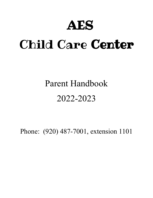# AES

# Child Care Center

# Parent Handbook 2022-2023

Phone: (920) 487-7001, extension 1101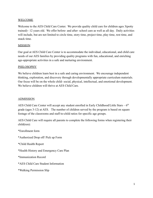# WELCOME

Welcome to the AES Child Care Center. We provide quality child care for children ages 3(potty trained)– 12 years old. We offer before- and after- school care as well as all day. Daily activities will include, but are not limited to circle time, story time, project time, play time, rest time, and snack time.

#### MISSION

Our goal at AES Child Care Center is to accommodate the individual, educational, and child care needs of our AES families by providing quality programs with fun, educational, and enriching age-appropriate activities in a safe and nurturing environment.

# **PHILOSOPHY**

We believe children learn best in a safe and caring environment. We encourage independent thinking, exploration, and discovery through developmentally appropriate curriculum materials. Our focus will be on the whole child- social, physical, intellectual, and emotional development. We believe children will thrive at AES Child Care.

#### ADMISSION

AES Child Care Center will accept any student enrolled in Early Childhood/Little Stars –  $6<sup>th</sup>$ grade (ages 3-12) at AES. The number of children served by the program is based on square footage of the classrooms and staff-to-child ratios for specific age groups.

AES Child Care will require all parents to complete the following forms when registering their child(ren):

\*Enrollment form \*Authorized Drop off/ Pick up Form \*Child Health Report \*Health History and Emergency Care Plan \*Immunization Record \*AES Child Care Student Information \*Walking Permission Slip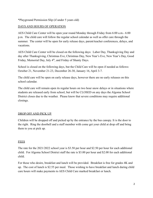\*Playground Permission Slip (if under 5 years old)

# DAYS AND HOURS OF OPERATION

AES Child Care Center will be open year round Monday through Friday from 6:00 a.m.- 6:00 p.m. The child care will follow the regular school calendar as well as offer care through the summer. The center will be open for early release days, parent/teacher conferences, delays, and vacations.

AES Child Care Center will be closed on the following days: Labor Day, Thanksgiving Day and day after Thanksgiving, Christmas Eve, Christmas Day, New Year's Eve, New Year's Day, Good Friday, Memorial Day, July 4<sup>th</sup>, and Friday of Shanty Days.

School is closed on the following days, but the Child Care will be open if needed as follows: October 21, November 21-23, December 26-30, January 16, April 3-7.

The child care will be open on early release days, however there are no early releases on this school calendar.

The child care will remain open its regular hours on two hour snow delays or in situations where students are released early from school, but will be CLOSED on any days the Algoma School District closes due to the weather. Please know that severe conditions may require additional closings.

# DROP OFF AND PICK UP

Children will be dropped off and picked up by the entrance by the bus canopy. It is the door to the right. Ring the doorbell and a staff member with come get your child at drop off and bring them to you at pick up.

# **FEES**

The rate for the 2021/2022 school year is \$3.50 per hour and \$2.50 per hour for each additional child. For Algoma School District staff the rate is \$3.00 per hour and \$2.00 for each additional child.

For those who desire, breakfast and lunch will be provided. Breakfast is free for grades 4K and up. The cost of lunch is \$2.55 per meal. Those wishing to have breakfast and lunch during child care hours will make payments to AES Child Care marked breakfast or lunch.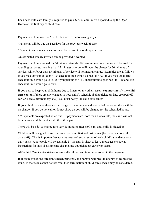Each new child care family is required to pay a \$25.00 enrollment deposit due by the Open House or the first day of child care.

Payments will be made to AES Child Care in the following ways:

\*Payments will be due on Tuesdays for the previous week of care.

\*Payment can be made ahead of time for the week, month, quarter, etc.

An estimated weekly invoice can be provided if wanted.

Payments will be accepted for 30 minute intervals. Fifteen minute time frames will be used for rounding purposes, meaning that 15 minutes or more will incur the charge for 30 minutes of service, while fewer than 15 minutes of service will not incur a charge. Examples are as follows: if you pick up your child by 4:10, checkout time would go back to 4:00; if you pick up at 4:15, checkout time would go to 4:30; if you pick up at 4:40, checkout time goes back to 4:30 and 4:45 checkout time would go to 5:00.

If you plan to keep your child home due to illness or any other reason, **you must notify the child care center.** If there are any changes to your child's schedule (being picked up late, dropped off earlier, need a different day, etc.) you must notify the child care center.

If your child is sick or there was a change in the schedule and you called the center there will be no charge. If you do not call or do not show up you will be charged for the scheduled hours.

\*\*\*Payments are expected when due. If payments are more than a week late, the child will not be able to attend the center until the bill is paid.

There will be a \$5.00 charge for every 15 minutes after 6:00 p.m. until child is picked up.

Children will be signed in and out each day using first and last names (by parent and/or child care staff). This is important because we need to keep a record of each child's attendance on a daily basis. A notebook will be available by the sign in sheet to leave messages or special instructions for staff (i.e, someone else picking up, picked up earlier or later).

AES Child Care Center strives to serve all children and families enrolled in the program.

If an issue arises, the director, teacher, principal, and parents will meet to attempt to resolve the issue. If the issue cannot be resolved, then termination of child care service may be considered.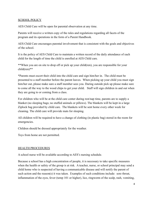# SCHOOL POLICY

AES Child Care will be open for parental observation at any time.

Parents will receive a written copy of the rules and regulations regarding all facets of the program and its operations in the form of a Parent Handbook.

AES Child Care encourages parental involvement that is consistent with the goals and objectives of the school.

It is the policy of AES Child Care to maintain a written record of the daily attendance of each child for the length of time the child is enrolled at AES Child care.

\*\*When you are on site to drop off or pick up your child(ren), you are responsible for your child(ren)\*\*

\*Parents must escort their child into the child care and sign him/her in. The child must be presented to a staff member before the parent leaves. When picking up your child you must sign him/her out, please make sure a staff member sees you. During outside pick up please make sure to come all the way to the wood chips to get your child. Staff will sign children in and out when they are going to or coming from a class.

For children who will be at the child care center during rest/nap time, parents are to supply a blanket (no sleeping bags; no stuffed animals or pillows). The blankets will be kept in a large Ziplock bag provided by child care. The blankets will be sent home every other week for cleaning. The child care will provide mats for sleeping.

All children will be required to have a change of clothing (in plastic bag) stored in the room for emergencies.

Children should be dressed appropriately for the weather.

Toys from home are not permitted.

# HEALTH PROCEDURES

A school nurse will be available according to AES's nursing schedule.

Because a school has a high concentration of people, it is necessary to take specific measures when the health or safety of the group is at risk. A teacher, nurse, or school principal may send a child home who is suspected of having a communicable disease and will notify the parent of such action and the reason(s) it was taken. Examples of such conditions include: sore throat, inflammation of the eyes, fever (temp 101 or higher), lice, ringworm of the scalp, rash, vomiting,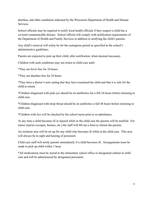diarrhea, and other conditions indicated by the Wisconsin Department of Health and Human **Services** 

School officials may be required to notify local health officials if they suspect a child has a covered communicable disease. School official will comply with notification requirements of the Department of Health and Family Services in addition to notifying the child's parents.

Any child's removal will solely be for the contagious period as specified in the school's administrative guidelines.

Parents are expected to pick up their child, after notification, when deemed necessary.

Children with such conditions may not return to child care until:

\*They are fever free for 24 hours

\*They are diarrhea free for 24 hours

\*They have a doctor's note stating that they have examined the child and that it is safe for the child to return.

\*Children diagnosed with pink eye should be on antibiotics for a full 24 hours before returning to child care.

\*Children diagnosed with strep throat should be on antibiotics a full 48 hours before returning to child care.

\*Children with lice will be checked by the school nurse prior to re-admittance.

At any time a child becomes ill or injured while in the child care the parents will be notified. For minor injuries (scrapes, bruises, etc.) the staff will fill out a form to inform the parents.

An isolation area will be set up for any child who becomes ill while at the child care. This area will always be in sight and hearing of personnel.

Child care staff will notify parents immediately if a child becomes ill. Arrangements must be made to pick up child within 1 hour.

\*All medications must be stored in the elementary school office or designated cabinet in child care and will be administered by designated personnel.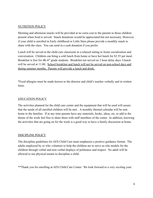# NUTRITION POLICY

Morning and afternoon snacks will be provided at no extra cost to the parents to those children present when food is served. Snack donations would be appreciated but not necessary. However, if your child is enrolled in Early childhood or Little Stars please provide a monthly snack to share with the class. You can send in a cash donation if you prefer.

Lunch will be served in the child care classroom in a relaxed setting to foster socialization and conversation. Children can bring a cold lunch from home or have hot lunch for \$2.55 per meal. Breakfast is free for 4K-6<sup>th</sup> grade students. Breakfast not served on 2 hour delay days. Llunch will be served at 11:00. School breakfast and lunch will not be served on non-school days and during summer months. Parents will provide a lunch and drink.

\*Food allergies must be made known to the director and child's teacher verbally and in written form.

# EDUCATION POLICY

The activities planned for the child care center and the equipment that will be used will assure that the needs of all enrolled children will be met. A monthly themed calendar will be sent home to the families. If at any time parents have any materials, books, ideas, etc, to add to the theme of the week feel free to share them with staff members of the center. In addition, knowing the activities that are going on for the week is a good way to have a family discussion at home.

# DISCIPLINE POLICY

The discipline guidelines for AES Child Care must emphasize a positive guidance format. The adults employed by or who volunteer to help the children are to serve as role models for the children through verbal and non-verbal displays of politeness and respect. No adult will be allowed to use physical means to discipline a child.

\*\*Thank you for enrolling at AES Child Care Center. We look forward to a very exciting year.